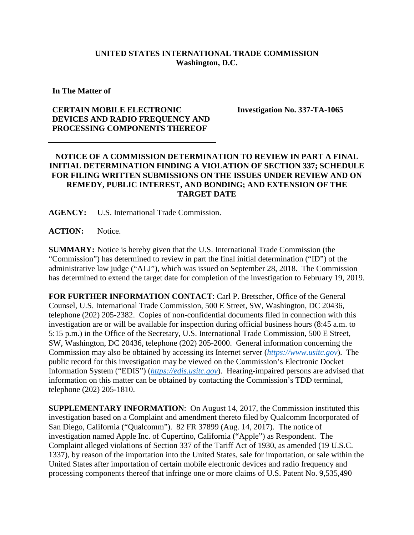## **UNITED STATES INTERNATIONAL TRADE COMMISSION Washington, D.C.**

**In The Matter of**

## **CERTAIN MOBILE ELECTRONIC DEVICES AND RADIO FREQUENCY AND PROCESSING COMPONENTS THEREOF**

**Investigation No. 337-TA-1065**

## **NOTICE OF A COMMISSION DETERMINATION TO REVIEW IN PART A FINAL INITIAL DETERMINATION FINDING A VIOLATION OF SECTION 337; SCHEDULE FOR FILING WRITTEN SUBMISSIONS ON THE ISSUES UNDER REVIEW AND ON REMEDY, PUBLIC INTEREST, AND BONDING; AND EXTENSION OF THE TARGET DATE**

**AGENCY:** U.S. International Trade Commission.

**ACTION:** Notice.

**SUMMARY:** Notice is hereby given that the U.S. International Trade Commission (the "Commission") has determined to review in part the final initial determination ("ID") of the administrative law judge ("ALJ"), which was issued on September 28, 2018. The Commission has determined to extend the target date for completion of the investigation to February 19, 2019.

**FOR FURTHER INFORMATION CONTACT**: Carl P. Bretscher, Office of the General Counsel, U.S. International Trade Commission, 500 E Street, SW, Washington, DC 20436, telephone (202) 205-2382. Copies of non-confidential documents filed in connection with this investigation are or will be available for inspection during official business hours (8:45 a.m. to 5:15 p.m.) in the Office of the Secretary, U.S. International Trade Commission, 500 E Street, SW, Washington, DC 20436, telephone (202) 205-2000. General information concerning the Commission may also be obtained by accessing its Internet server (*[https://www.usitc.gov](https://www.usitc.gov/)*). The public record for this investigation may be viewed on the Commission's Electronic Docket Information System ("EDIS") (*[https://edis.usitc.gov](https://edis.usitc.gov/)*). Hearing-impaired persons are advised that information on this matter can be obtained by contacting the Commission's TDD terminal, telephone (202) 205-1810.

**SUPPLEMENTARY INFORMATION**: On August 14, 2017, the Commission instituted this investigation based on a Complaint and amendment thereto filed by Qualcomm Incorporated of San Diego, California ("Qualcomm"). 82 FR 37899 (Aug. 14, 2017). The notice of investigation named Apple Inc. of Cupertino, California ("Apple") as Respondent. The Complaint alleged violations of Section 337 of the Tariff Act of 1930, as amended (19 U.S.C. 1337), by reason of the importation into the United States, sale for importation, or sale within the United States after importation of certain mobile electronic devices and radio frequency and processing components thereof that infringe one or more claims of U.S. Patent No. 9,535,490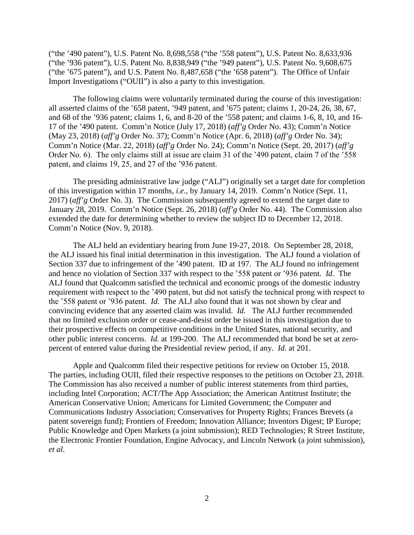("the '490 patent"), U.S. Patent No. 8,698,558 ("the '558 patent"), U.S. Patent No. 8,633,936 ("the '936 patent"), U.S. Patent No. 8,838,949 ("the '949 patent"), U.S. Patent No. 9,608,675 ("the '675 patent"), and U.S. Patent No. 8,487,658 ("the '658 patent"). The Office of Unfair Import Investigations ("OUII") is also a party to this investigation.

The following claims were voluntarily terminated during the course of this investigation: all asserted claims of the '658 patent, '949 patent, and '675 patent; claims 1, 20-24, 26, 38, 67, and 68 of the '936 patent; claims 1, 6, and 8-20 of the '558 patent; and claims 1-6, 8, 10, and 16- 17 of the '490 patent. Comm'n Notice (July 17, 2018) (*aff'g* Order No. 43); Comm'n Notice (May 23, 2018) (*aff'g* Order No. 37); Comm'n Notice (Apr. 6, 2018) (*aff'g* Order No. 34); Comm'n Notice (Mar. 22, 2018) (*aff'g* Order No. 24); Comm'n Notice (Sept. 20, 2017) (*aff'g* Order No. 6). The only claims still at issue are claim 31 of the '490 patent, claim 7 of the '558 patent, and claims 19, 25, and 27 of the '936 patent.

The presiding administrative law judge ("ALJ") originally set a target date for completion of this investigation within 17 months, *i.e.*, by January 14, 2019. Comm'n Notice (Sept. 11, 2017) (*aff'g* Order No. 3). The Commission subsequently agreed to extend the target date to January 28, 2019. Comm'n Notice (Sept. 26, 2018) (*aff'g* Order No. 44). The Commission also extended the date for determining whether to review the subject ID to December 12, 2018. Comm'n Notice (Nov. 9, 2018).

The ALJ held an evidentiary hearing from June 19-27, 2018. On September 28, 2018, the ALJ issued his final initial determination in this investigation. The ALJ found a violation of Section 337 due to infringement of the '490 patent. ID at 197. The ALJ found no infringement and hence no violation of Section 337 with respect to the '558 patent or '936 patent. *Id.* The ALJ found that Qualcomm satisfied the technical and economic prongs of the domestic industry requirement with respect to the '490 patent, but did not satisfy the technical prong with respect to the '558 patent or '936 patent. *Id.* The ALJ also found that it was not shown by clear and convincing evidence that any asserted claim was invalid. *Id.* The ALJ further recommended that no limited exclusion order or cease-and-desist order be issued in this investigation due to their prospective effects on competitive conditions in the United States, national security, and other public interest concerns. *Id.* at 199-200. The ALJ recommended that bond be set at zeropercent of entered value during the Presidential review period, if any. *Id.* at 201.

Apple and Qualcomm filed their respective petitions for review on October 15, 2018. The parties, including OUII, filed their respective responses to the petitions on October 23, 2018. The Commission has also received a number of public interest statements from third parties, including Intel Corporation; ACT/The App Association; the American Antitrust Institute; the American Conservative Union; Americans for Limited Government; the Computer and Communications Industry Association; Conservatives for Property Rights; Frances Brevets (a patent sovereign fund); Frontiers of Freedom; Innovation Alliance; Inventors Digest; IP Europe; Public Knowledge and Open Markets (a joint submission); RED Technologies; R Street Institute, the Electronic Frontier Foundation, Engine Advocacy, and Lincoln Network (a joint submission), *et al*.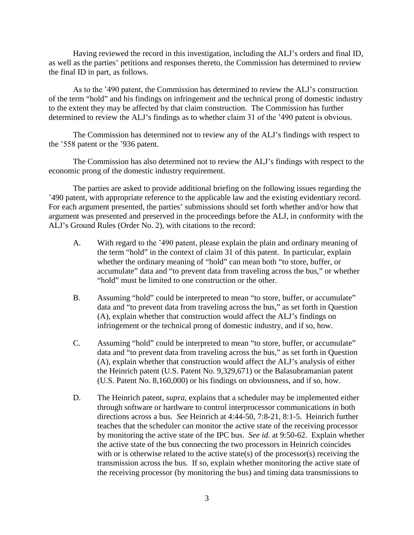Having reviewed the record in this investigation, including the ALJ's orders and final ID, as well as the parties' petitions and responses thereto, the Commission has determined to review the final ID in part, as follows.

As to the '490 patent, the Commission has determined to review the ALJ's construction of the term "hold" and his findings on infringement and the technical prong of domestic industry to the extent they may be affected by that claim construction. The Commission has further determined to review the ALJ's findings as to whether claim 31 of the '490 patent is obvious.

The Commission has determined not to review any of the ALJ's findings with respect to the '558 patent or the '936 patent.

The Commission has also determined not to review the ALJ's findings with respect to the economic prong of the domestic industry requirement.

The parties are asked to provide additional briefing on the following issues regarding the '490 patent, with appropriate reference to the applicable law and the existing evidentiary record. For each argument presented, the parties' submissions should set forth whether and/or how that argument was presented and preserved in the proceedings before the ALJ, in conformity with the ALJ's Ground Rules (Order No. 2), with citations to the record:

- A. With regard to the '490 patent, please explain the plain and ordinary meaning of the term "hold" in the context of claim 31 of this patent. In particular, explain whether the ordinary meaning of "hold" can mean both "to store, buffer, or accumulate" data and "to prevent data from traveling across the bus," or whether "hold" must be limited to one construction or the other.
- B. Assuming "hold" could be interpreted to mean "to store, buffer, or accumulate" data and "to prevent data from traveling across the bus," as set forth in Question (A), explain whether that construction would affect the ALJ's findings on infringement or the technical prong of domestic industry, and if so, how.
- C. Assuming "hold" could be interpreted to mean "to store, buffer, or accumulate" data and "to prevent data from traveling across the bus," as set forth in Question (A), explain whether that construction would affect the ALJ's analysis of either the Heinrich patent (U.S. Patent No. 9,329,671) or the Balasubramanian patent (U.S. Patent No. 8,160,000) or his findings on obviousness, and if so, how.
- D. The Heinrich patent, *supra*, explains that a scheduler may be implemented either through software or hardware to control interprocessor communications in both directions across a bus. *See* Heinrich at 4:44-50, 7:8-21, 8:1-5. Heinrich further teaches that the scheduler can monitor the active state of the receiving processor by monitoring the active state of the IPC bus. *See id.* at 9:50-62. Explain whether the active state of the bus connecting the two processors in Heinrich coincides with or is otherwise related to the active state(s) of the processor(s) receiving the transmission across the bus. If so, explain whether monitoring the active state of the receiving processor (by monitoring the bus) and timing data transmissions to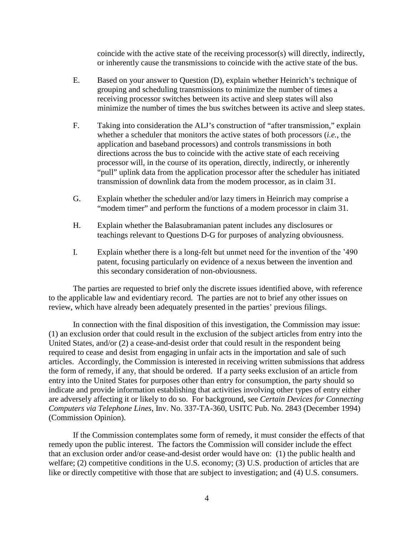coincide with the active state of the receiving processor(s) will directly, indirectly, or inherently cause the transmissions to coincide with the active state of the bus.

- E. Based on your answer to Question (D), explain whether Heinrich's technique of grouping and scheduling transmissions to minimize the number of times a receiving processor switches between its active and sleep states will also minimize the number of times the bus switches between its active and sleep states.
- F. Taking into consideration the ALJ's construction of "after transmission," explain whether a scheduler that monitors the active states of both processors (*i.e.*, the application and baseband processors) and controls transmissions in both directions across the bus to coincide with the active state of each receiving processor will, in the course of its operation, directly, indirectly, or inherently "pull" uplink data from the application processor after the scheduler has initiated transmission of downlink data from the modem processor, as in claim 31.
- G. Explain whether the scheduler and/or lazy timers in Heinrich may comprise a "modem timer" and perform the functions of a modem processor in claim 31.
- H. Explain whether the Balasubramanian patent includes any disclosures or teachings relevant to Questions D-G for purposes of analyzing obviousness.
- I. Explain whether there is a long-felt but unmet need for the invention of the '490 patent, focusing particularly on evidence of a nexus between the invention and this secondary consideration of non-obviousness.

The parties are requested to brief only the discrete issues identified above, with reference to the applicable law and evidentiary record. The parties are not to brief any other issues on review, which have already been adequately presented in the parties' previous filings.

In connection with the final disposition of this investigation, the Commission may issue: (1) an exclusion order that could result in the exclusion of the subject articles from entry into the United States, and/or (2) a cease-and-desist order that could result in the respondent being required to cease and desist from engaging in unfair acts in the importation and sale of such articles. Accordingly, the Commission is interested in receiving written submissions that address the form of remedy, if any, that should be ordered. If a party seeks exclusion of an article from entry into the United States for purposes other than entry for consumption, the party should so indicate and provide information establishing that activities involving other types of entry either are adversely affecting it or likely to do so. For background, see *Certain Devices for Connecting Computers via Telephone Lines*, Inv. No. 337-TA-360, USITC Pub. No. 2843 (December 1994) (Commission Opinion).

If the Commission contemplates some form of remedy, it must consider the effects of that remedy upon the public interest. The factors the Commission will consider include the effect that an exclusion order and/or cease-and-desist order would have on: (1) the public health and welfare; (2) competitive conditions in the U.S. economy; (3) U.S. production of articles that are like or directly competitive with those that are subject to investigation; and (4) U.S. consumers.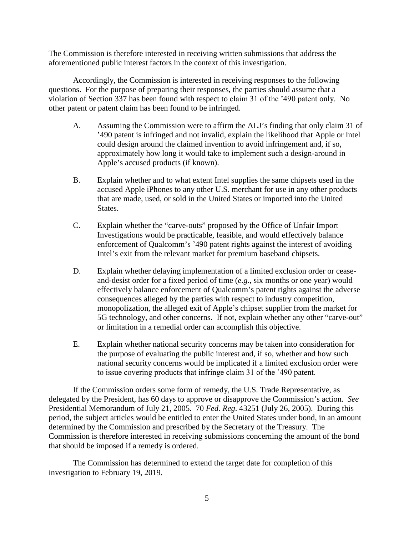The Commission is therefore interested in receiving written submissions that address the aforementioned public interest factors in the context of this investigation.

Accordingly, the Commission is interested in receiving responses to the following questions. For the purpose of preparing their responses, the parties should assume that a violation of Section 337 has been found with respect to claim 31 of the '490 patent only. No other patent or patent claim has been found to be infringed.

- A. Assuming the Commission were to affirm the ALJ's finding that only claim 31 of '490 patent is infringed and not invalid, explain the likelihood that Apple or Intel could design around the claimed invention to avoid infringement and, if so, approximately how long it would take to implement such a design-around in Apple's accused products (if known).
- B. Explain whether and to what extent Intel supplies the same chipsets used in the accused Apple iPhones to any other U.S. merchant for use in any other products that are made, used, or sold in the United States or imported into the United States.
- C. Explain whether the "carve-outs" proposed by the Office of Unfair Import Investigations would be practicable, feasible, and would effectively balance enforcement of Qualcomm's '490 patent rights against the interest of avoiding Intel's exit from the relevant market for premium baseband chipsets.
- D. Explain whether delaying implementation of a limited exclusion order or ceaseand-desist order for a fixed period of time (*e.g.*, six months or one year) would effectively balance enforcement of Qualcomm's patent rights against the adverse consequences alleged by the parties with respect to industry competition, monopolization, the alleged exit of Apple's chipset supplier from the market for 5G technology, and other concerns. If not, explain whether any other "carve-out" or limitation in a remedial order can accomplish this objective.
- E. Explain whether national security concerns may be taken into consideration for the purpose of evaluating the public interest and, if so, whether and how such national security concerns would be implicated if a limited exclusion order were to issue covering products that infringe claim 31 of the '490 patent.

If the Commission orders some form of remedy, the U.S. Trade Representative, as delegated by the President, has 60 days to approve or disapprove the Commission's action. *See*  Presidential Memorandum of July 21, 2005. 70 *Fed. Reg*. 43251 (July 26, 2005). During this period, the subject articles would be entitled to enter the United States under bond, in an amount determined by the Commission and prescribed by the Secretary of the Treasury. The Commission is therefore interested in receiving submissions concerning the amount of the bond that should be imposed if a remedy is ordered.

The Commission has determined to extend the target date for completion of this investigation to February 19, 2019.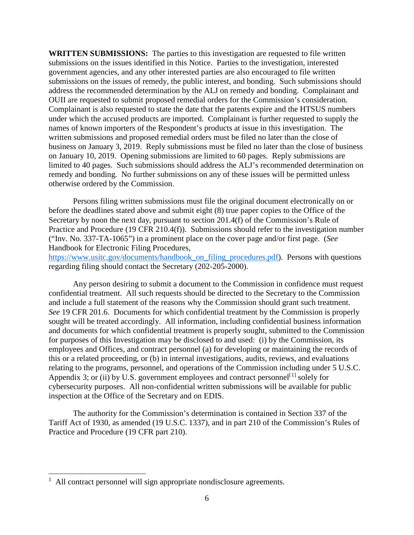**WRITTEN SUBMISSIONS:** The parties to this investigation are requested to file written submissions on the issues identified in this Notice. Parties to the investigation, interested government agencies, and any other interested parties are also encouraged to file written submissions on the issues of remedy, the public interest, and bonding. Such submissions should address the recommended determination by the ALJ on remedy and bonding. Complainant and OUII are requested to submit proposed remedial orders for the Commission's consideration. Complainant is also requested to state the date that the patents expire and the HTSUS numbers under which the accused products are imported. Complainant is further requested to supply the names of known importers of the Respondent's products at issue in this investigation. The written submissions and proposed remedial orders must be filed no later than the close of business on January 3, 2019. Reply submissions must be filed no later than the close of business on January 10, 2019. Opening submissions are limited to 60 pages. Reply submissions are limited to 40 pages. Such submissions should address the ALJ's recommended determination on remedy and bonding. No further submissions on any of these issues will be permitted unless otherwise ordered by the Commission.

Persons filing written submissions must file the original document electronically on or before the deadlines stated above and submit eight (8) true paper copies to the Office of the Secretary by noon the next day, pursuant to section 201.4(f) of the Commission's Rule of Practice and Procedure (19 CFR 210.4(f)). Submissions should refer to the investigation number ("Inv. No. 337-TA-1065") in a prominent place on the cover page and/or first page. (*See*  Handbook for Electronic Filing Procedures,

[https://www.usitc.gov/documents/handbook\\_on\\_filing\\_procedures.pdf\)](https://www.usitc.gov/documents/handbook_on_filing_procedures.pdf). Persons with questions regarding filing should contact the Secretary (202-205-2000).

Any person desiring to submit a document to the Commission in confidence must request confidential treatment. All such requests should be directed to the Secretary to the Commission and include a full statement of the reasons why the Commission should grant such treatment. *See* 19 CFR 201.6. Documents for which confidential treatment by the Commission is properly sought will be treated accordingly. All information, including confidential business information and documents for which confidential treatment is properly sought, submitted to the Commission for purposes of this Investigation may be disclosed to and used: (i) by the Commission, its employees and Offices, and contract personnel (a) for developing or maintaining the records of this or a related proceeding, or (b) in internal investigations, audits, reviews, and evaluations relating to the programs, personnel, and operations of the Commission including under 5 U.S.C. Appendix 3; or (ii) by U.S. government employees and contract personnel<sup>[[1](#page-5-0)]</sup> solely for cybersecurity purposes. All non-confidential written submissions will be available for public inspection at the Office of the Secretary and on EDIS.

The authority for the Commission's determination is contained in Section 337 of the Tariff Act of 1930, as amended (19 U.S.C. 1337), and in part 210 of the Commission's Rules of Practice and Procedure (19 CFR part 210).

<span id="page-5-0"></span> <sup>1</sup> All contract personnel will sign appropriate nondisclosure agreements.